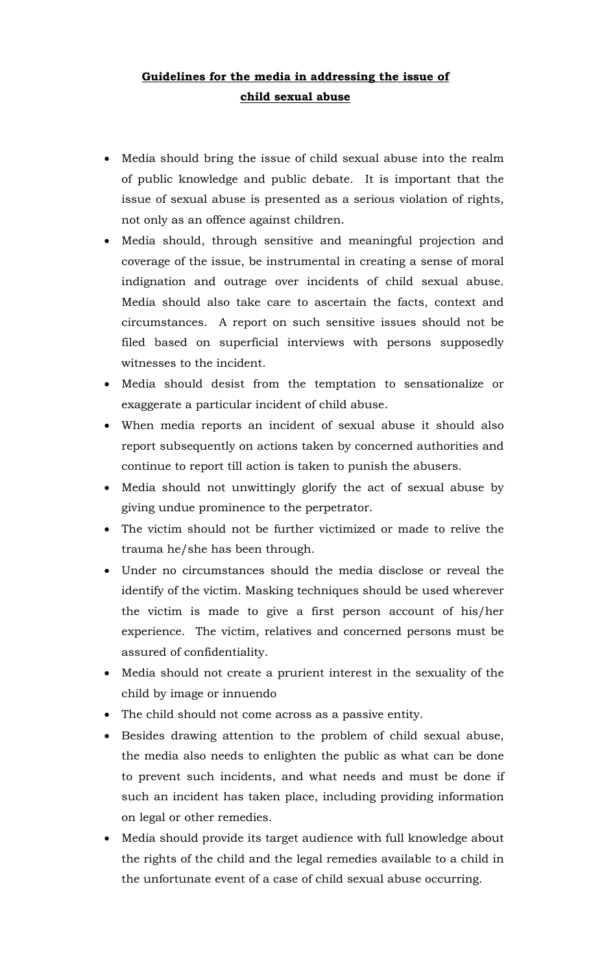## **Guidelines for the media in addressing the issue of child sexual abuse**

- Media should bring the issue of child sexual abuse into the realm of public knowledge and public debate. It is important that the issue of sexual abuse is presented as a serious violation of rights, not only as an offence against children.
- Media should, through sensitive and meaningful projection and coverage of the issue, be instrumental in creating a sense of moral indignation and outrage over incidents of child sexual abuse. Media should also take care to ascertain the facts, context and circumstances. A report on such sensitive issues should not be filed based on superficial interviews with persons supposedly witnesses to the incident.
- Media should desist from the temptation to sensationalize or exaggerate a particular incident of child abuse.
- When media reports an incident of sexual abuse it should also report subsequently on actions taken by concerned authorities and continue to report till action is taken to punish the abusers.
- Media should not unwittingly glorify the act of sexual abuse by giving undue prominence to the perpetrator.
- The victim should not be further victimized or made to relive the trauma he/she has been through.
- Under no circumstances should the media disclose or reveal the identify of the victim. Masking techniques should be used wherever the victim is made to give a first person account of his/her experience. The victim, relatives and concerned persons must be assured of confidentiality.
- Media should not create a prurient interest in the sexuality of the child by image or innuendo
- The child should not come across as a passive entity.
- Besides drawing attention to the problem of child sexual abuse, the media also needs to enlighten the public as what can be done to prevent such incidents, and what needs and must be done if such an incident has taken place, including providing information on legal or other remedies.
- Media should provide its target audience with full knowledge about the rights of the child and the legal remedies available to a child in the unfortunate event of a case of child sexual abuse occurring.